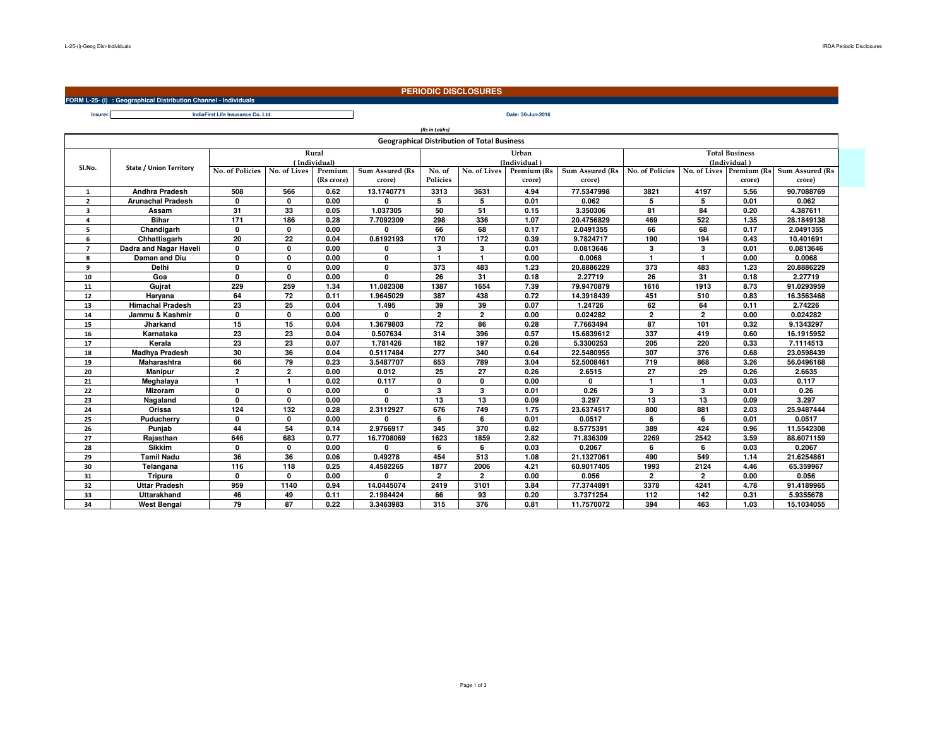**FORM L-25- (i) : Geographical Distribution Channel - Individuals**

## **PERIODIC DISCLOSURES**

**Insurer:Date: 30-Jun-2016IndiaFirst Life Insurance Co. Ltd.**

|                |                          |                 |                |            |                 | (Rs in Lakhs)   |                                                    |              |                 |                       |                |             |                        |  |
|----------------|--------------------------|-----------------|----------------|------------|-----------------|-----------------|----------------------------------------------------|--------------|-----------------|-----------------------|----------------|-------------|------------------------|--|
|                |                          |                 |                |            |                 |                 | <b>Geographical Distribution of Total Business</b> |              |                 |                       |                |             |                        |  |
|                |                          |                 |                | Rural      |                 |                 |                                                    | Urban        |                 | <b>Total Business</b> |                |             |                        |  |
|                | State / Union Territory  | (Individual)    |                |            |                 |                 |                                                    | (Individual) |                 | (Individual)          |                |             |                        |  |
| SI.No.         |                          | No. of Policies | No. of Lives   | Premium    | Sum Assured (Rs | No. of          | No. of Lives                                       | Premium (Rs  | Sum Assured (Rs | No. of Policies       | No. of Lives   | Premium (Rs | <b>Sum Assured (Rs</b> |  |
|                |                          |                 |                | (Rs crore) | crore)          | <b>Policies</b> |                                                    | crore)       | crore)          |                       |                | crore)      | crore)                 |  |
| $\mathbf{1}$   | Andhra Pradesh           | 508             | 566            | 0.62       | 13.1740771      | 3313            | 3631                                               | 4.94         | 77.5347998      | 3821                  | 4197           | 5.56        | 90.7088769             |  |
| $\overline{2}$ | <b>Arunachal Pradesh</b> | $\mathbf{0}$    | 0              | 0.00       | O               | 5               | 5                                                  | 0.01         | 0.062           | 5                     | 5              | 0.01        | 0.062                  |  |
| 3              | Assam                    | 31              | 33             | 0.05       | 1.037305        | 50              | 51                                                 | 0.15         | 3.350306        | 81                    | 84             | 0.20        | 4.387611               |  |
| 4              | <b>Bihar</b>             | 171             | 186            | 0.28       | 7.7092309       | 298             | 336                                                | 1.07         | 20.4756829      | 469                   | 522            | 1.35        | 28.1849138             |  |
| 5              | Chandigarh               | $\mathbf{0}$    | $\Omega$       | 0.00       | 0               | 66              | 68                                                 | 0.17         | 2.0491355       | 66                    | 68             | 0.17        | 2.0491355              |  |
| 6              | Chhattisgarh             | 20              | 22             | 0.04       | 0.6192193       | 170             | 172                                                | 0.39         | 9.7824717       | 190                   | 194            | 0.43        | 10.401691              |  |
| $\overline{7}$ | Dadra and Nagar Haveli   | $\mathbf{0}$    | $\mathbf{0}$   | 0.00       | 0               | 3               | 3                                                  | 0.01         | 0.0813646       | 3                     | 3              | 0.01        | 0.0813646              |  |
| 8              | Daman and Diu            | $\mathbf{0}$    | $\Omega$       | 0.00       | 0               | $\mathbf{1}$    | $\mathbf{1}$                                       | 0.00         | 0.0068          | $\mathbf{1}$          | $\mathbf{1}$   | 0.00        | 0.0068                 |  |
| 9              | Delhi                    | $\mathbf 0$     | $\mathbf{0}$   | 0.00       | 0               | 373             | 483                                                | 1.23         | 20.8886229      | 373                   | 483            | 1.23        | 20.8886229             |  |
| 10             | Goa                      | $\mathbf{0}$    | $\mathbf{0}$   | 0.00       | $\mathbf{0}$    | 26              | 31                                                 | 0.18         | 2.27719         | 26                    | 31             | 0.18        | 2.27719                |  |
| 11             | Gujrat                   | 229             | 259            | 1.34       | 11.082308       | 1387            | 1654                                               | 7.39         | 79.9470879      | 1616                  | 1913           | 8.73        | 91.0293959             |  |
| 12             | Haryana                  | 64              | 72             | 0.11       | 1.9645029       | 387             | 438                                                | 0.72         | 14.3918439      | 451                   | 510            | 0.83        | 16.3563468             |  |
| 13             | <b>Himachal Pradesh</b>  | 23              | 25             | 0.04       | 1.495           | 39              | 39                                                 | 0.07         | 1.24726         | 62                    | 64             | 0.11        | 2.74226                |  |
| 14             | Jammu & Kashmir          | $\mathbf{0}$    | $\mathbf{0}$   | 0.00       | <b>n</b>        | $\overline{2}$  | $\overline{2}$                                     | 0.00         | 0.024282        | $\overline{2}$        | $\overline{2}$ | 0.00        | 0.024282               |  |
| 15             | Jharkand                 | 15              | 15             | 0.04       | 1.3679803       | 72              | 86                                                 | 0.28         | 7.7663494       | 87                    | 101            | 0.32        | 9.1343297              |  |
| 16             | Karnataka                | 23              | 23             | 0.04       | 0.507634        | 314             | 396                                                | 0.57         | 15.6839612      | 337                   | 419            | 0.60        | 16.1915952             |  |
| 17             | Kerala                   | 23              | 23             | 0.07       | 1.781426        | 182             | 197                                                | 0.26         | 5.3300253       | 205                   | 220            | 0.33        | 7.1114513              |  |
| 18             | Madhya Pradesh           | 30              | 36             | 0.04       | 0.5117484       | 277             | 340                                                | 0.64         | 22.5480955      | 307                   | 376            | 0.68        | 23.0598439             |  |
| 19             | <b>Maharashtra</b>       | 66              | 79             | 0.23       | 3.5487707       | 653             | 789                                                | 3.04         | 52.5008461      | 719                   | 868            | 3.26        | 56.0496168             |  |
| 20             | <b>Manipur</b>           | $\overline{2}$  | $\overline{2}$ | 0.00       | 0.012           | 25              | 27                                                 | 0.26         | 2.6515          | 27                    | 29             | 0.26        | 2.6635                 |  |
| 21             | Meghalaya                | $\mathbf{1}$    | $\mathbf{1}$   | 0.02       | 0.117           | $\mathbf{0}$    | $\mathbf{0}$                                       | 0.00         | $\Omega$        | $\mathbf{1}$          | $\mathbf{1}$   | 0.03        | 0.117                  |  |
| 22             | <b>Mizoram</b>           | $\mathbf 0$     | $\mathbf{0}$   | 0.00       | 0               | 3               | 3                                                  | 0.01         | 0.26            | 3                     | 3              | 0.01        | 0.26                   |  |
| 23             | Nagaland                 | $\mathbf{0}$    | $\mathbf{0}$   | 0.00       | $\mathbf{0}$    | 13              | 13                                                 | 0.09         | 3.297           | 13                    | 13             | 0.09        | 3.297                  |  |
| 24             | Orissa                   | 124             | 132            | 0.28       | 2.3112927       | 676             | 749                                                | 1.75         | 23.6374517      | 800                   | 881            | 2.03        | 25.9487444             |  |
| 25             | Puducherry               | $\mathbf 0$     | $\mathbf{0}$   | 0.00       | <sup>0</sup>    | 6               | 6                                                  | 0.01         | 0.0517          | 6                     | 6              | 0.01        | 0.0517                 |  |
| 26             | Punjab                   | 44              | 54             | 0.14       | 2.9766917       | 345             | 370                                                | 0.82         | 8.5775391       | 389                   | 424            | 0.96        | 11.5542308             |  |
| 27             | Rajasthan                | 646             | 683            | 0.77       | 16.7708069      | 1623            | 1859                                               | 2.82         | 71.836309       | 2269                  | 2542           | 3.59        | 88.6071159             |  |
| 28             | <b>Sikkim</b>            | $\mathbf{0}$    | $\mathbf{0}$   | 0.00       | 0               | 6               | 6                                                  | 0.03         | 0.2067          | 6                     | 6              | 0.03        | 0.2067                 |  |
| 29             | <b>Tamil Nadu</b>        | 36              | 36             | 0.06       | 0.49278         | 454             | 513                                                | 1.08         | 21.1327061      | 490                   | 549            | 1.14        | 21.6254861             |  |
| 30             | Telangana                | 116             | 118            | 0.25       | 4.4582265       | 1877            | 2006                                               | 4.21         | 60.9017405      | 1993                  | 2124           | 4.46        | 65.359967              |  |
| 31             | Tripura                  | $\mathbf{0}$    | $\mathbf{0}$   | 0.00       | <sup>0</sup>    | $\overline{2}$  | $\overline{2}$                                     | 0.00         | 0.056           | $\overline{2}$        | $\overline{2}$ | 0.00        | 0.056                  |  |
| 32             | <b>Uttar Pradesh</b>     | 959             | 1140           | 0.94       | 14.0445074      | 2419            | 3101                                               | 3.84         | 77.3744891      | 3378                  | 4241           | 4.78        | 91.4189965             |  |
| 33             | <b>Uttarakhand</b>       | 46              | 49             | 0.11       | 2.1984424       | 66              | 93                                                 | 0.20         | 3.7371254       | 112                   | 142            | 0.31        | 5.9355678              |  |
| 34             | <b>West Bengal</b>       | 79              | 87             | 0.22       | 3.3463983       | 315             | 376                                                | 0.81         | 11.7570072      | 394                   | 463            | 1.03        | 15.1034055             |  |